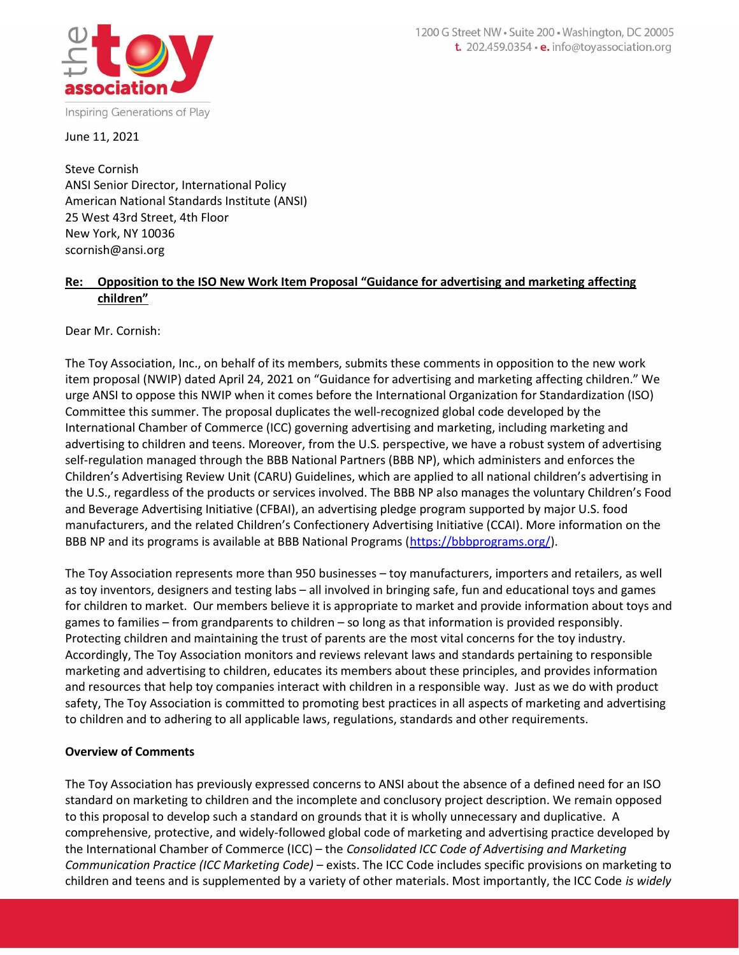

June 11, 2021

Steve Cornish ANSI Senior Director, International Policy American National Standards Institute (ANSI) 25 West 43rd Street, 4th Floor New York, NY 10036 scornish@ansi.org

## Re: Opposition to the ISO New Work Item Proposal "Guidance for advertising and marketing affecting children"

Dear Mr. Cornish:

The Toy Association, Inc., on behalf of its members, submits these comments in opposition to the new work item proposal (NWIP) dated April 24, 2021 on "Guidance for advertising and marketing affecting children." We urge ANSI to oppose this NWIP when it comes before the International Organization for Standardization (ISO) Committee this summer. The proposal duplicates the well-recognized global code developed by the International Chamber of Commerce (ICC) governing advertising and marketing, including marketing and advertising to children and teens. Moreover, from the U.S. perspective, we have a robust system of advertising self-regulation managed through the BBB National Partners (BBB NP), which administers and enforces the Children's Advertising Review Unit (CARU) Guidelines, which are applied to all national children's advertising in the U.S., regardless of the products or services involved. The BBB NP also manages the voluntary Children's Food and Beverage Advertising Initiative (CFBAI), an advertising pledge program supported by major U.S. food manufacturers, and the related Children's Confectionery Advertising Initiative (CCAI). More information on the BBB NP and its programs is available at BBB National Programs (https://bbbprograms.org/).

The Toy Association represents more than 950 businesses – toy manufacturers, importers and retailers, as well as toy inventors, designers and testing labs – all involved in bringing safe, fun and educational toys and games for children to market. Our members believe it is appropriate to market and provide information about toys and games to families – from grandparents to children – so long as that information is provided responsibly. Protecting children and maintaining the trust of parents are the most vital concerns for the toy industry. Accordingly, The Toy Association monitors and reviews relevant laws and standards pertaining to responsible marketing and advertising to children, educates its members about these principles, and provides information and resources that help toy companies interact with children in a responsible way. Just as we do with product safety, The Toy Association is committed to promoting best practices in all aspects of marketing and advertising to children and to adhering to all applicable laws, regulations, standards and other requirements.

# Overview of Comments

The Toy Association has previously expressed concerns to ANSI about the absence of a defined need for an ISO standard on marketing to children and the incomplete and conclusory project description. We remain opposed to this proposal to develop such a standard on grounds that it is wholly unnecessary and duplicative. A comprehensive, protective, and widely-followed global code of marketing and advertising practice developed by the International Chamber of Commerce (ICC) – the Consolidated ICC Code of Advertising and Marketing Communication Practice (ICC Marketing Code) – exists. The ICC Code includes specific provisions on marketing to children and teens and is supplemented by a variety of other materials. Most importantly, the ICC Code is widely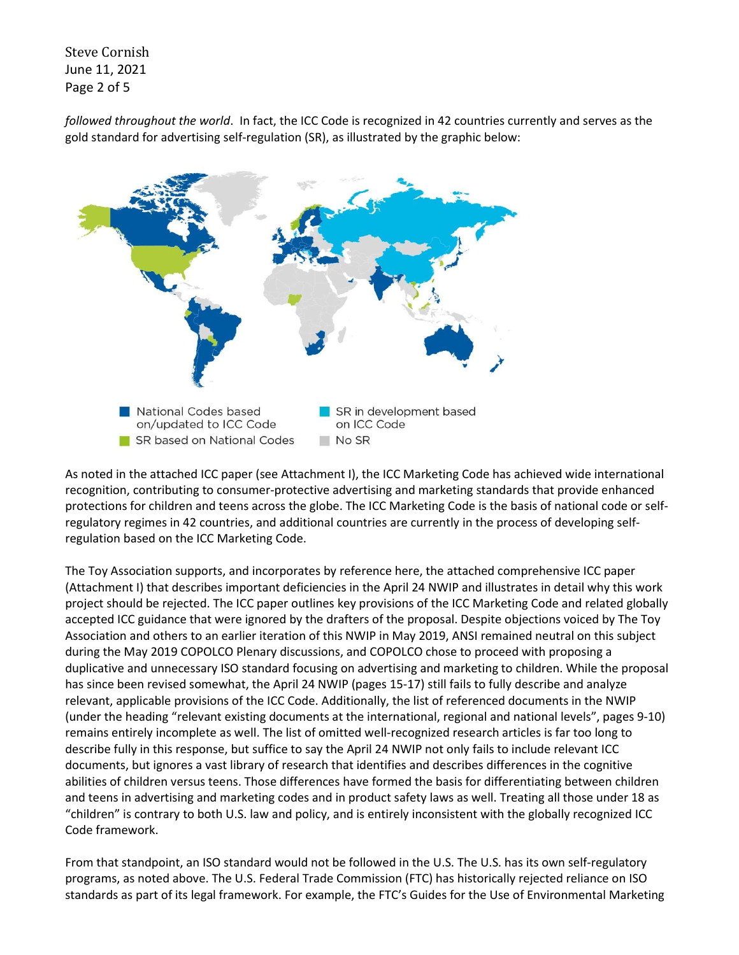Steve Cornish June 11, 2021 Page 2 of 5

followed throughout the world. In fact, the ICC Code is recognized in 42 countries currently and serves as the gold standard for advertising self-regulation (SR), as illustrated by the graphic below:



As noted in the attached ICC paper (see Attachment I), the ICC Marketing Code has achieved wide international recognition, contributing to consumer-protective advertising and marketing standards that provide enhanced protections for children and teens across the globe. The ICC Marketing Code is the basis of national code or selfregulatory regimes in 42 countries, and additional countries are currently in the process of developing selfregulation based on the ICC Marketing Code.

The Toy Association supports, and incorporates by reference here, the attached comprehensive ICC paper (Attachment I) that describes important deficiencies in the April 24 NWIP and illustrates in detail why this work project should be rejected. The ICC paper outlines key provisions of the ICC Marketing Code and related globally accepted ICC guidance that were ignored by the drafters of the proposal. Despite objections voiced by The Toy Association and others to an earlier iteration of this NWIP in May 2019, ANSI remained neutral on this subject during the May 2019 COPOLCO Plenary discussions, and COPOLCO chose to proceed with proposing a duplicative and unnecessary ISO standard focusing on advertising and marketing to children. While the proposal has since been revised somewhat, the April 24 NWIP (pages 15-17) still fails to fully describe and analyze relevant, applicable provisions of the ICC Code. Additionally, the list of referenced documents in the NWIP (under the heading "relevant existing documents at the international, regional and national levels", pages 9-10) remains entirely incomplete as well. The list of omitted well-recognized research articles is far too long to describe fully in this response, but suffice to say the April 24 NWIP not only fails to include relevant ICC documents, but ignores a vast library of research that identifies and describes differences in the cognitive abilities of children versus teens. Those differences have formed the basis for differentiating between children and teens in advertising and marketing codes and in product safety laws as well. Treating all those under 18 as "children" is contrary to both U.S. law and policy, and is entirely inconsistent with the globally recognized ICC Code framework.

From that standpoint, an ISO standard would not be followed in the U.S. The U.S. has its own self-regulatory programs, as noted above. The U.S. Federal Trade Commission (FTC) has historically rejected reliance on ISO standards as part of its legal framework. For example, the FTC's Guides for the Use of Environmental Marketing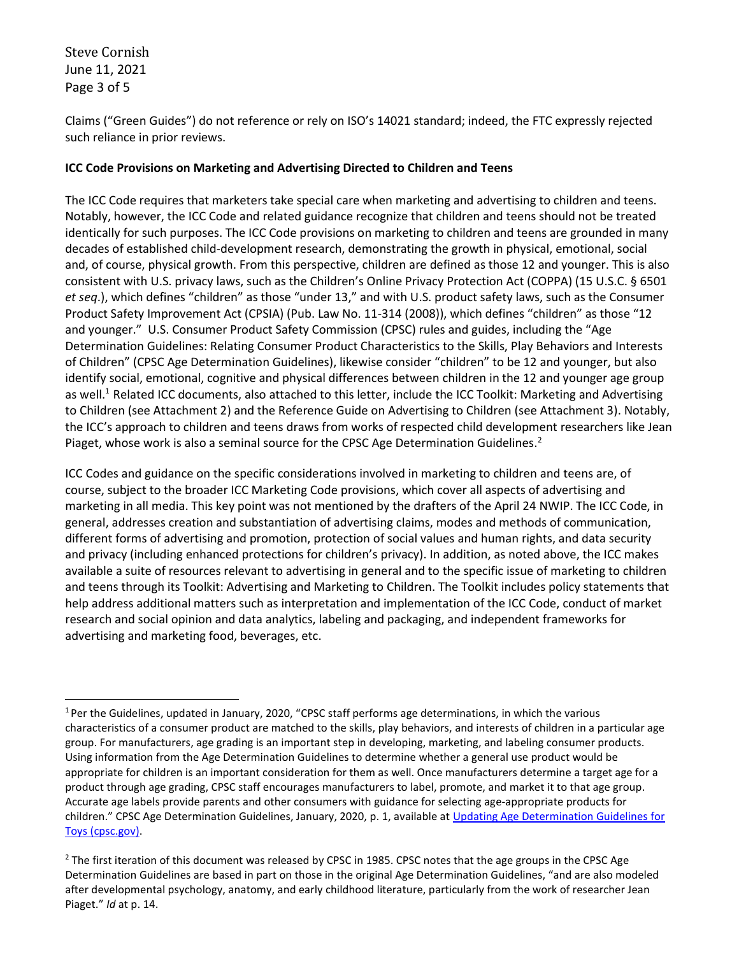Steve Cornish June 11, 2021 Page 3 of 5

Claims ("Green Guides") do not reference or rely on ISO's 14021 standard; indeed, the FTC expressly rejected such reliance in prior reviews.

### ICC Code Provisions on Marketing and Advertising Directed to Children and Teens

The ICC Code requires that marketers take special care when marketing and advertising to children and teens. Notably, however, the ICC Code and related guidance recognize that children and teens should not be treated identically for such purposes. The ICC Code provisions on marketing to children and teens are grounded in many decades of established child-development research, demonstrating the growth in physical, emotional, social and, of course, physical growth. From this perspective, children are defined as those 12 and younger. This is also consistent with U.S. privacy laws, such as the Children's Online Privacy Protection Act (COPPA) (15 U.S.C. § 6501 et seq.), which defines "children" as those "under 13," and with U.S. product safety laws, such as the Consumer Product Safety Improvement Act (CPSIA) (Pub. Law No. 11-314 (2008)), which defines "children" as those "12 and younger." U.S. Consumer Product Safety Commission (CPSC) rules and guides, including the "Age Determination Guidelines: Relating Consumer Product Characteristics to the Skills, Play Behaviors and Interests of Children" (CPSC Age Determination Guidelines), likewise consider "children" to be 12 and younger, but also identify social, emotional, cognitive and physical differences between children in the 12 and younger age group as well.<sup>1</sup> Related ICC documents, also attached to this letter, include the ICC Toolkit: Marketing and Advertising to Children (see Attachment 2) and the Reference Guide on Advertising to Children (see Attachment 3). Notably, the ICC's approach to children and teens draws from works of respected child development researchers like Jean Piaget, whose work is also a seminal source for the CPSC Age Determination Guidelines.<sup>2</sup>

ICC Codes and guidance on the specific considerations involved in marketing to children and teens are, of course, subject to the broader ICC Marketing Code provisions, which cover all aspects of advertising and marketing in all media. This key point was not mentioned by the drafters of the April 24 NWIP. The ICC Code, in general, addresses creation and substantiation of advertising claims, modes and methods of communication, different forms of advertising and promotion, protection of social values and human rights, and data security and privacy (including enhanced protections for children's privacy). In addition, as noted above, the ICC makes available a suite of resources relevant to advertising in general and to the specific issue of marketing to children and teens through its Toolkit: Advertising and Marketing to Children. The Toolkit includes policy statements that help address additional matters such as interpretation and implementation of the ICC Code, conduct of market research and social opinion and data analytics, labeling and packaging, and independent frameworks for advertising and marketing food, beverages, etc.

<sup>1</sup>Per the Guidelines, updated in January, 2020, "CPSC staff performs age determinations, in which the various characteristics of a consumer product are matched to the skills, play behaviors, and interests of children in a particular age group. For manufacturers, age grading is an important step in developing, marketing, and labeling consumer products. Using information from the Age Determination Guidelines to determine whether a general use product would be appropriate for children is an important consideration for them as well. Once manufacturers determine a target age for a product through age grading, CPSC staff encourages manufacturers to label, promote, and market it to that age group. Accurate age labels provide parents and other consumers with guidance for selecting age-appropriate products for children." CPSC Age Determination Guidelines, January, 2020, p. 1, available at Updating Age Determination Guidelines for Toys (cpsc.gov).

 $^2$  The first iteration of this document was released by CPSC in 1985. CPSC notes that the age groups in the CPSC Age Determination Guidelines are based in part on those in the original Age Determination Guidelines, "and are also modeled after developmental psychology, anatomy, and early childhood literature, particularly from the work of researcher Jean Piaget." Id at p. 14.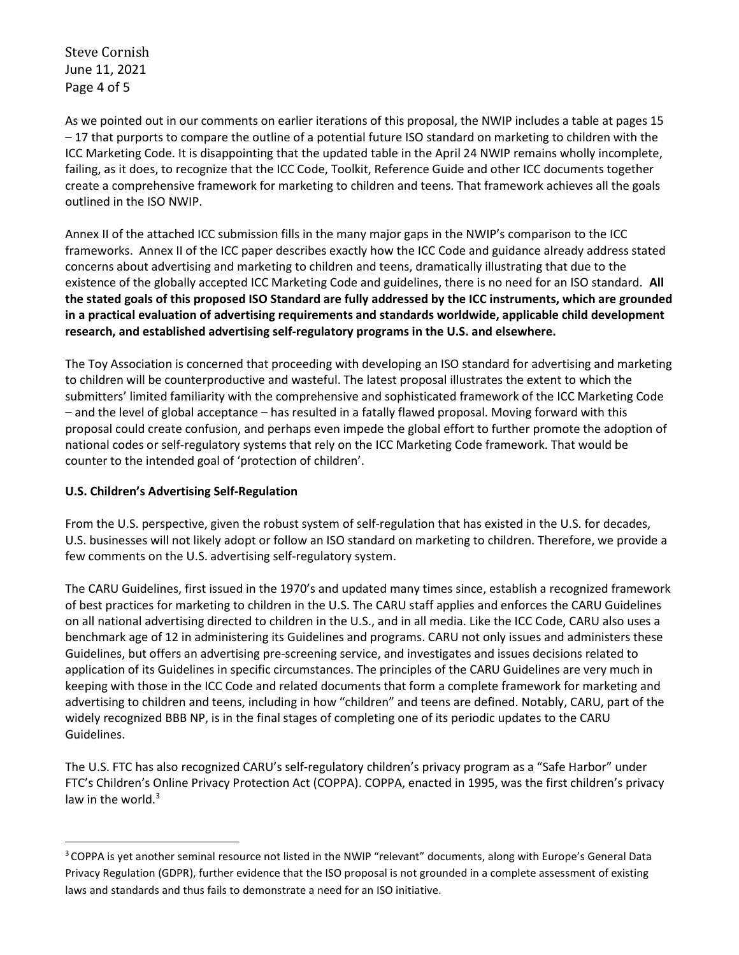Steve Cornish June 11, 2021 Page 4 of 5

As we pointed out in our comments on earlier iterations of this proposal, the NWIP includes a table at pages 15 – 17 that purports to compare the outline of a potential future ISO standard on marketing to children with the ICC Marketing Code. It is disappointing that the updated table in the April 24 NWIP remains wholly incomplete, failing, as it does, to recognize that the ICC Code, Toolkit, Reference Guide and other ICC documents together create a comprehensive framework for marketing to children and teens. That framework achieves all the goals outlined in the ISO NWIP.

Annex II of the attached ICC submission fills in the many major gaps in the NWIP's comparison to the ICC frameworks. Annex II of the ICC paper describes exactly how the ICC Code and guidance already address stated concerns about advertising and marketing to children and teens, dramatically illustrating that due to the existence of the globally accepted ICC Marketing Code and guidelines, there is no need for an ISO standard. All the stated goals of this proposed ISO Standard are fully addressed by the ICC instruments, which are grounded in a practical evaluation of advertising requirements and standards worldwide, applicable child development research, and established advertising self-regulatory programs in the U.S. and elsewhere.

The Toy Association is concerned that proceeding with developing an ISO standard for advertising and marketing to children will be counterproductive and wasteful. The latest proposal illustrates the extent to which the submitters' limited familiarity with the comprehensive and sophisticated framework of the ICC Marketing Code – and the level of global acceptance – has resulted in a fatally flawed proposal. Moving forward with this proposal could create confusion, and perhaps even impede the global effort to further promote the adoption of national codes or self-regulatory systems that rely on the ICC Marketing Code framework. That would be counter to the intended goal of 'protection of children'.

# U.S. Children's Advertising Self-Regulation

From the U.S. perspective, given the robust system of self-regulation that has existed in the U.S. for decades, U.S. businesses will not likely adopt or follow an ISO standard on marketing to children. Therefore, we provide a few comments on the U.S. advertising self-regulatory system.

The CARU Guidelines, first issued in the 1970's and updated many times since, establish a recognized framework of best practices for marketing to children in the U.S. The CARU staff applies and enforces the CARU Guidelines on all national advertising directed to children in the U.S., and in all media. Like the ICC Code, CARU also uses a benchmark age of 12 in administering its Guidelines and programs. CARU not only issues and administers these Guidelines, but offers an advertising pre-screening service, and investigates and issues decisions related to application of its Guidelines in specific circumstances. The principles of the CARU Guidelines are very much in keeping with those in the ICC Code and related documents that form a complete framework for marketing and advertising to children and teens, including in how "children" and teens are defined. Notably, CARU, part of the widely recognized BBB NP, is in the final stages of completing one of its periodic updates to the CARU Guidelines.

The U.S. FTC has also recognized CARU's self-regulatory children's privacy program as a "Safe Harbor" under FTC's Children's Online Privacy Protection Act (COPPA). COPPA, enacted in 1995, was the first children's privacy law in the world. $3$ 

<sup>&</sup>lt;sup>3</sup> COPPA is yet another seminal resource not listed in the NWIP "relevant" documents, along with Europe's General Data Privacy Regulation (GDPR), further evidence that the ISO proposal is not grounded in a complete assessment of existing laws and standards and thus fails to demonstrate a need for an ISO initiative.